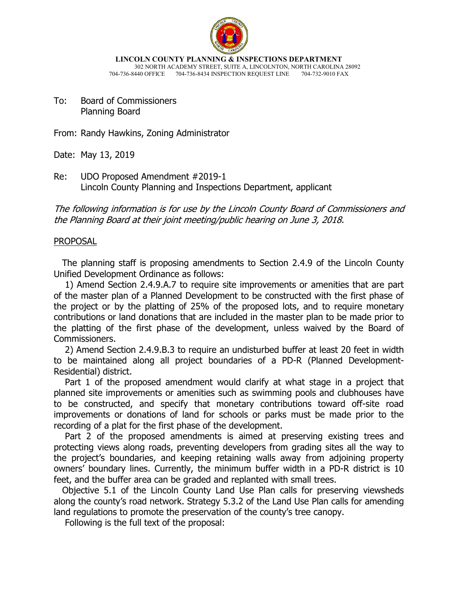

**LINCOLN COUNTY PLANNING & INSPECTIONS DEPARTMENT** 302 NORTH ACADEMY STREET, SUITE A, LINCOLNTON, NORTH CAROLINA 28092

704-736-8440 OFFICE 704-736-8434 INSPECTION REQUEST LINE 704-732-9010 FAX

To: Board of Commissioners Planning Board

From: Randy Hawkins, Zoning Administrator

Date: May 13, 2019

Re: UDO Proposed Amendment #2019-1 Lincoln County Planning and Inspections Department, applicant

The following information is for use by the Lincoln County Board of Commissioners and the Planning Board at their joint meeting/public hearing on June 3, 2018.

## PROPOSAL

 The planning staff is proposing amendments to Section 2.4.9 of the Lincoln County Unified Development Ordinance as follows:

 1) Amend Section 2.4.9.A.7 to require site improvements or amenities that are part of the master plan of a Planned Development to be constructed with the first phase of the project or by the platting of 25% of the proposed lots, and to require monetary contributions or land donations that are included in the master plan to be made prior to the platting of the first phase of the development, unless waived by the Board of Commissioners.

 2) Amend Section 2.4.9.B.3 to require an undisturbed buffer at least 20 feet in width to be maintained along all project boundaries of a PD-R (Planned Development-Residential) district.

 Part 1 of the proposed amendment would clarify at what stage in a project that planned site improvements or amenities such as swimming pools and clubhouses have to be constructed, and specify that monetary contributions toward off-site road improvements or donations of land for schools or parks must be made prior to the recording of a plat for the first phase of the development.

 Part 2 of the proposed amendments is aimed at preserving existing trees and protecting views along roads, preventing developers from grading sites all the way to the project's boundaries, and keeping retaining walls away from adjoining property owners' boundary lines. Currently, the minimum buffer width in a PD-R district is 10 feet, and the buffer area can be graded and replanted with small trees.

 Objective 5.1 of the Lincoln County Land Use Plan calls for preserving viewsheds along the county's road network. Strategy 5.3.2 of the Land Use Plan calls for amending land regulations to promote the preservation of the county's tree canopy.

Following is the full text of the proposal: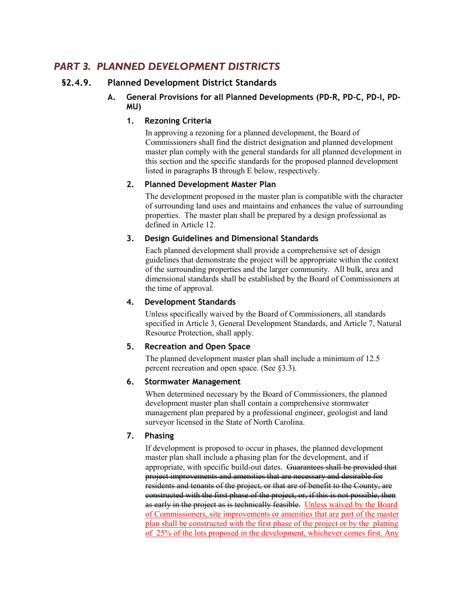# *PART 3. PLANNED DEVELOPMENT DISTRICTS*

# **§2.4.9. Planned Development District Standards**

**A. General Provisions for all Planned Developments (PD-R, PD-C, PD-I, PD-MU)** 

## **1. Rezoning Criteria**

In approving a rezoning for a planned development, the Board of Commissioners shall find the district designation and planned development master plan comply with the general standards for all planned development in this section and the specific standards for the proposed planned development listed in paragraphs B through E below, respectively.

## **2. Planned Development Master Plan**

The development proposed in the master plan is compatible with the character of surrounding land uses and maintains and enhances the value of surrounding properties. The master plan shall be prepared by a design professional as defined in Article 12.

## **3. Design Guidelines and Dimensional Standards**

Each planned development shall provide a comprehensive set of design guidelines that demonstrate the project will be appropriate within the context of the surrounding properties and the larger community. All bulk, area and dimensional standards shall be established by the Board of Commissioners at the time of approval.

## **4. Development Standards**

Unless specifically waived by the Board of Commissioners, all standards specified in Article 3, General Development Standards, and Article 7, Natural Resource Protection, shall apply.

## **5. Recreation and Open Space**

The planned development master plan shall include a minimum of 12.5 percent recreation and open space. (See §3.3).

## **6. Stormwater Management**

When determined necessary by the Board of Commissioners, the planned development master plan shall contain a comprehensive stormwater management plan prepared by a professional engineer, geologist and land surveyor licensed in the State of North Carolina.

## **7. Phasing**

If development is proposed to occur in phases, the planned development master plan shall include a phasing plan for the development, and if appropriate, with specific build-out dates. Guarantees shall be provided that project improvements and amenities that are necessary and desirable for residents and tenants of the project, or that are of benefit to the County, are constructed with the first phase of the project, or, if this is not possible, then as early in the project as is technically feasible. Unless waived by the Board of Commissioners, site improvements or amenities that are part of the master plan shall be constructed with the first phase of the project or by the platting of 25% of the lots proposed in the development, whichever comes first. Any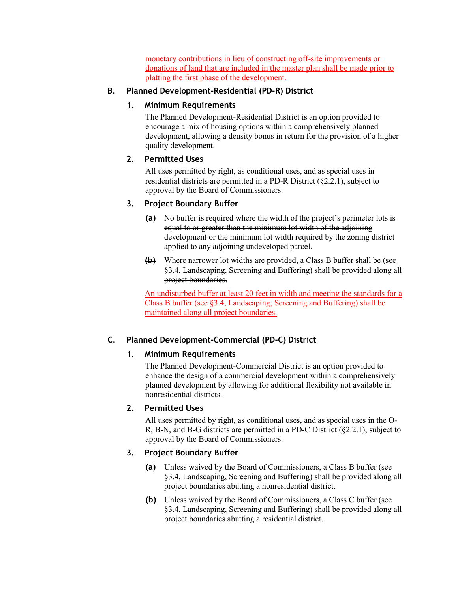monetary contributions in lieu of constructing off-site improvements or donations of land that are included in the master plan shall be made prior to platting the first phase of the development.

## **B. Planned Development-Residential (PD-R) District**

## **1. Minimum Requirements**

The Planned Development-Residential District is an option provided to encourage a mix of housing options within a comprehensively planned development, allowing a density bonus in return for the provision of a higher quality development.

## **2. Permitted Uses**

All uses permitted by right, as conditional uses, and as special uses in residential districts are permitted in a PD-R District (§2.2.1), subject to approval by the Board of Commissioners.

## **3. Project Boundary Buffer**

- **(a)** No buffer is required where the width of the project's perimeter lots is equal to or greater than the minimum lot width of the adjoining development or the minimum lot width required by the zoning district applied to any adjoining undeveloped parcel.
- **(b)** Where narrower lot widths are provided, a Class B buffer shall be (see §3.4, Landscaping, Screening and Buffering) shall be provided along all project boundaries.

An undisturbed buffer at least 20 feet in width and meeting the standards for a Class B buffer (see §3.4, Landscaping, Screening and Buffering) shall be maintained along all project boundaries.

# **C. Planned Development-Commercial (PD-C) District**

## **1. Minimum Requirements**

The Planned Development-Commercial District is an option provided to enhance the design of a commercial development within a comprehensively planned development by allowing for additional flexibility not available in nonresidential districts.

## **2. Permitted Uses**

All uses permitted by right, as conditional uses, and as special uses in the O-R, B-N, and B-G districts are permitted in a PD-C District (§2.2.1), subject to approval by the Board of Commissioners.

# **3. Project Boundary Buffer**

- **(a)** Unless waived by the Board of Commissioners, a Class B buffer (see §3.4, Landscaping, Screening and Buffering) shall be provided along all project boundaries abutting a nonresidential district.
- **(b)** Unless waived by the Board of Commissioners, a Class C buffer (see §3.4, Landscaping, Screening and Buffering) shall be provided along all project boundaries abutting a residential district.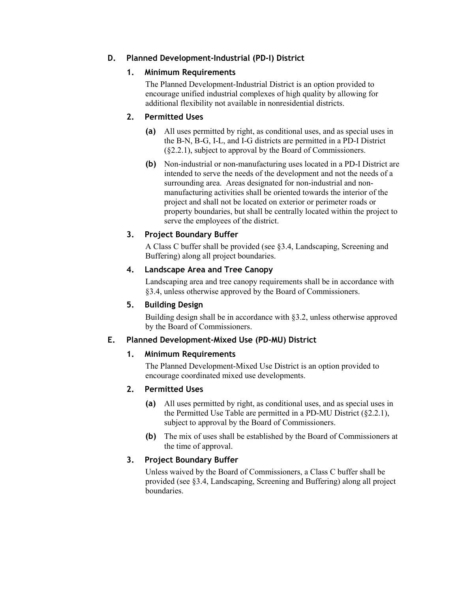# **D. Planned Development-Industrial (PD-I) District**

## **1. Minimum Requirements**

The Planned Development-Industrial District is an option provided to encourage unified industrial complexes of high quality by allowing for additional flexibility not available in nonresidential districts.

# **2. Permitted Uses**

- **(a)** All uses permitted by right, as conditional uses, and as special uses in the B-N, B-G, I-L, and I-G districts are permitted in a PD-I District (§2.2.1), subject to approval by the Board of Commissioners.
- **(b)** Non-industrial or non-manufacturing uses located in a PD-I District are intended to serve the needs of the development and not the needs of a surrounding area. Areas designated for non-industrial and nonmanufacturing activities shall be oriented towards the interior of the project and shall not be located on exterior or perimeter roads or property boundaries, but shall be centrally located within the project to serve the employees of the district.

## **3. Project Boundary Buffer**

A Class C buffer shall be provided (see §3.4, Landscaping, Screening and Buffering) along all project boundaries.

## **4. Landscape Area and Tree Canopy**

Landscaping area and tree canopy requirements shall be in accordance with §3.4, unless otherwise approved by the Board of Commissioners.

## **5. Building Design**

Building design shall be in accordance with §3.2, unless otherwise approved by the Board of Commissioners.

## **E. Planned Development-Mixed Use (PD-MU) District**

## **1. Minimum Requirements**

The Planned Development-Mixed Use District is an option provided to encourage coordinated mixed use developments.

## **2. Permitted Uses**

- **(a)** All uses permitted by right, as conditional uses, and as special uses in the Permitted Use Table are permitted in a PD-MU District (§2.2.1), subject to approval by the Board of Commissioners.
- **(b)** The mix of uses shall be established by the Board of Commissioners at the time of approval.

## **3. Project Boundary Buffer**

Unless waived by the Board of Commissioners, a Class C buffer shall be provided (see §3.4, Landscaping, Screening and Buffering) along all project boundaries.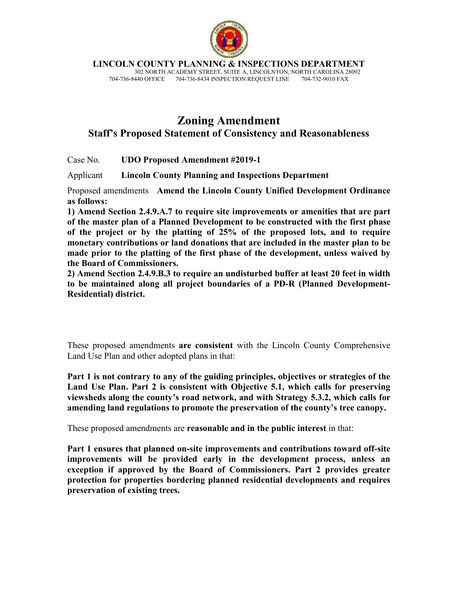

**LINCOLN COUNTY PLANNING & INSPECTIONS DEPARTMENT**

302 NORTH ACADEMY STREET, SUITE A, LINCOLNTON, NORTH CAROLINA 28092<br>440 OFFICE 704-736-8434 INSPECTION REQUEST LINE 704-732-9010 FAX 704-736-8440 OFFICE 704-736-8434 INSPECTION REQUEST LINE

# **Zoning Amendment Staff's Proposed Statement of Consistency and Reasonableness**

Case No. **UDO Proposed Amendment #2019-1** 

Applicant **Lincoln County Planning and Inspections Department**

Proposed amendments **Amend the Lincoln County Unified Development Ordinance as follows:** 

**1) Amend Section 2.4.9.A.7 to require site improvements or amenities that are part of the master plan of a Planned Development to be constructed with the first phase of the project or by the platting of 25% of the proposed lots, and to require monetary contributions or land donations that are included in the master plan to be made prior to the platting of the first phase of the development, unless waived by the Board of Commissioners.** 

**2) Amend Section 2.4.9.B.3 to require an undisturbed buffer at least 20 feet in width to be maintained along all project boundaries of a PD-R (Planned Development-Residential) district.** 

These proposed amendments **are consistent** with the Lincoln County Comprehensive Land Use Plan and other adopted plans in that:

**Part 1 is not contrary to any of the guiding principles, objectives or strategies of the Land Use Plan. Part 2 is consistent with Objective 5.1, which calls for preserving viewsheds along the county's road network, and with Strategy 5.3.2, which calls for amending land regulations to promote the preservation of the county's tree canopy.** 

These proposed amendments are **reasonable and in the public interest** in that:

**Part 1 ensures that planned on-site improvements and contributions toward off-site improvements will be provided early in the development process, unless an exception if approved by the Board of Commissioners. Part 2 provides greater protection for properties bordering planned residential developments and requires preservation of existing trees.**